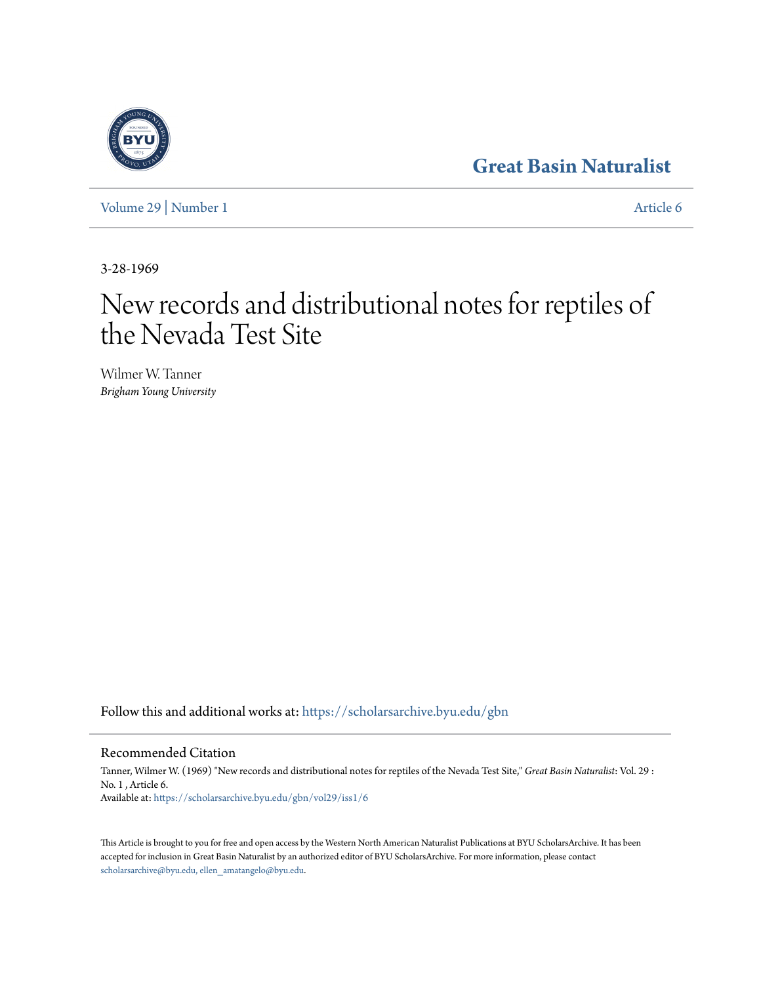## **[Great Basin Naturalist](https://scholarsarchive.byu.edu/gbn?utm_source=scholarsarchive.byu.edu%2Fgbn%2Fvol29%2Fiss1%2F6&utm_medium=PDF&utm_campaign=PDFCoverPages)**

[Volume 29](https://scholarsarchive.byu.edu/gbn/vol29?utm_source=scholarsarchive.byu.edu%2Fgbn%2Fvol29%2Fiss1%2F6&utm_medium=PDF&utm_campaign=PDFCoverPages) | [Number 1](https://scholarsarchive.byu.edu/gbn/vol29/iss1?utm_source=scholarsarchive.byu.edu%2Fgbn%2Fvol29%2Fiss1%2F6&utm_medium=PDF&utm_campaign=PDFCoverPages) [Article 6](https://scholarsarchive.byu.edu/gbn/vol29/iss1/6?utm_source=scholarsarchive.byu.edu%2Fgbn%2Fvol29%2Fiss1%2F6&utm_medium=PDF&utm_campaign=PDFCoverPages)

3-28-1969

# New records and distributional notes for reptiles of the Nevada Test Site

Wilmer W. Tanner *Brigham Young University*

Follow this and additional works at: [https://scholarsarchive.byu.edu/gbn](https://scholarsarchive.byu.edu/gbn?utm_source=scholarsarchive.byu.edu%2Fgbn%2Fvol29%2Fiss1%2F6&utm_medium=PDF&utm_campaign=PDFCoverPages)

### Recommended Citation

Tanner, Wilmer W. (1969) "New records and distributional notes for reptiles of the Nevada Test Site," *Great Basin Naturalist*: Vol. 29 : No. 1 , Article 6. Available at: [https://scholarsarchive.byu.edu/gbn/vol29/iss1/6](https://scholarsarchive.byu.edu/gbn/vol29/iss1/6?utm_source=scholarsarchive.byu.edu%2Fgbn%2Fvol29%2Fiss1%2F6&utm_medium=PDF&utm_campaign=PDFCoverPages)

This Article is brought to you for free and open access by the Western North American Naturalist Publications at BYU ScholarsArchive. It has been accepted for inclusion in Great Basin Naturalist by an authorized editor of BYU ScholarsArchive. For more information, please contact [scholarsarchive@byu.edu, ellen\\_amatangelo@byu.edu.](mailto:scholarsarchive@byu.edu,%20ellen_amatangelo@byu.edu)

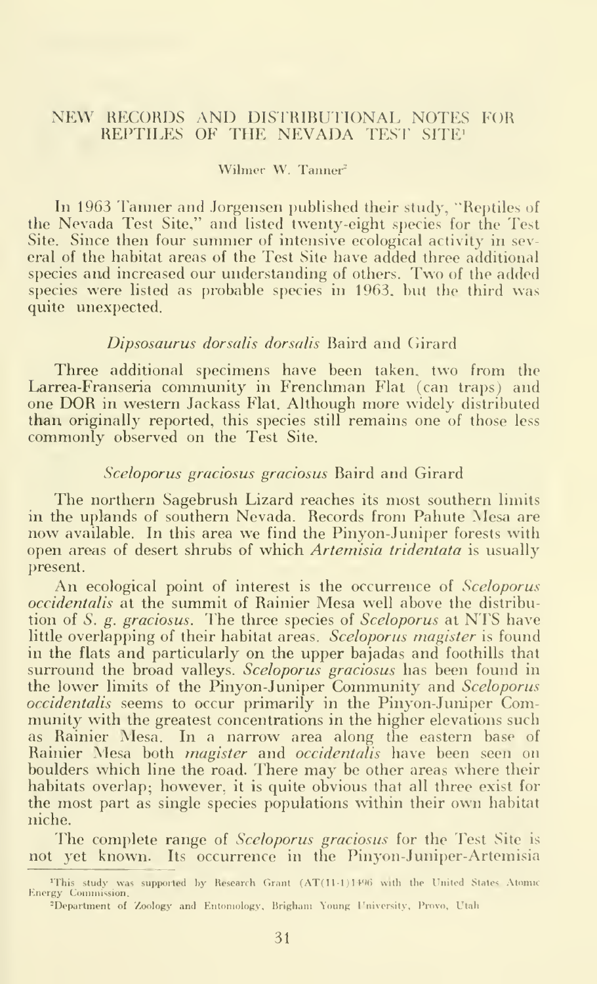#### NEW RECORDS AND DISTRIBUTIONAL NOTES FOR REPTILES OF THE NEVADA TEST SITE!

#### Wilmer W. Tanner

In 1963 Tanner and Jorgensen published their study, "Reptiles of the Nevada Test Site," and listed twenty-eight species for the Test Site. Since then four summer of intensive ecological activity in sev eral of the habitat areas of the Test Site have added three additional species and increased our understanding of others. Two of the added species were listed as probable species in 1963. but the third was quite unexpected.

#### Dipsosaurus dorsalis dorsalis Baird and Girard

Three additional specimens have been taken, two from the Larrea-Franseria community in Frenchman Flat (can traps) and one DOR in western Jackass Flat. Although more widely distributed than originally reported, this species still remains one of those less commonly observed on the Test Site.

#### Sceloporus graciosus graciosus Baird and Girard

The northern Sagebrush Lizard reaches its most southern limits<br>in the uplands of southern Nevada. Records from Pahute Mesa are now available. In this area we find the Pinyon-Juniper forests with open areas of desert shrubs of which Artemisia tridentata is usually present.

An ecological point of interest is the occurrence of Sceloporus occidentalis at the summit of Rainier Mesa well above the distribution of S. g. graciosus. The three species of Sceloporus at NTS have little overlapping of their habitat areas. Sceloporus magister is found in the flats and particularly on the upper bajadas and foothills that surround the broad valleys. Sceloporus graciosus has been found in the lower limits of the Pinyon-Juniper Community and Sceloporus occidentalis seems to occur primarily in the Pinyon-Juniper Community with the greatest concentrations in the higher elevations such as Rainier Mesa. In a narrow area along the eastern base of Rainier Mesa both *magister* and o*ccidentalis* have been seen on boulders which line the road. There may be other areas where their habitats overlap; however, it is quite obvious that all three exist for the most part as single species populations within their own habitat niche.

The complete range of Sceloporus graciosus for the Test Site is not yet known. Its occurrence in the Pinyon-Juniper-Artemisia

 $\text{``This study was supported by Research Grant (AT(11-1) 1496 with the United States. Atomic States and the United States (11-1) 1496.}$ F.nergy Commission.

<sup>-</sup>Department of Zoology and Entomology. Brighani Young I'niversity, Provo, Utah.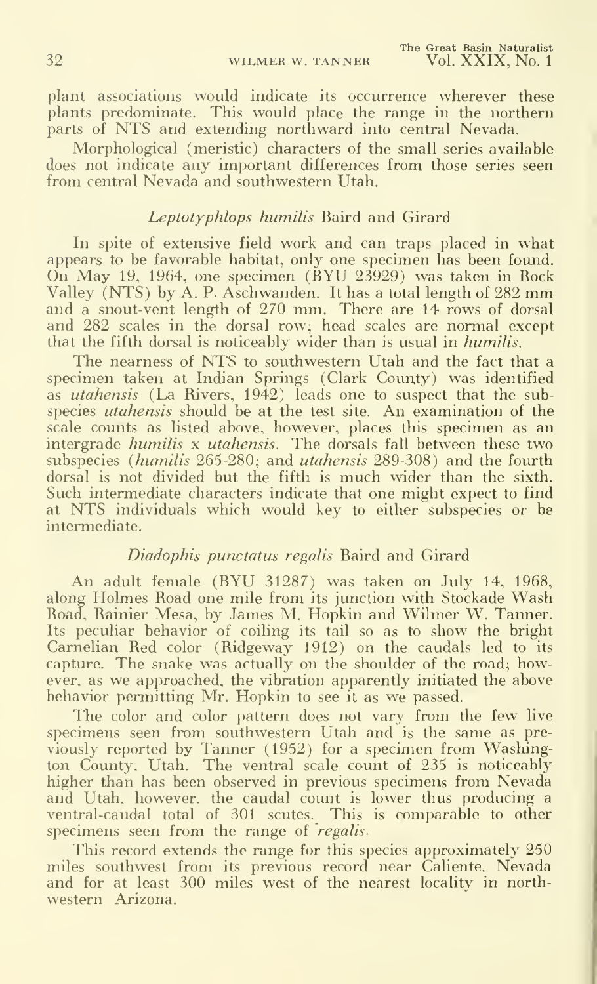plant associations would indicate its occurrence wherever these plants predominate. This would place the range in the northern parts of NTS and extending northward into central Nevada.

Morphological (meristic) characters of the small series available does not indicate any important differences from those series seen from central Nevada and southwestern Utah.

#### Leptotyphlops humilis Baird and Girard

In spite of extensive field work and can traps placed in what appears to be favorable habitat, only one specimen has been found. On May 19, 1964, one specimen (BYU 23929) was taken in Rock Valley (NTS) by A. P. Aschwanden. It has <sup>a</sup> total length of <sup>282</sup> mm and <sup>a</sup> snout-vent length of 270 mm. There are 14 rows of dorsal and 282 scales in the dorsal row; head scales are normal except that the fifth dorsal is noticeably wider than is usual in *humilis*.

The nearness of NTS to southwestern Utah and the fact that <sup>a</sup> specimen taken at Indian Springs (Clark County) was identified as utahensis (La Rivers, 1942) leads one to suspect that the subspecies *utahensis* should be at the test site. An examination of the scale counts as listed above, however, places this specimen as an intergrade *humilis x utahensis*. The dorsals fall between these two subspecies (humilis 265-280; and utahensis 289-308) and the fourth dorsal is not divided but the fifth is much wider than the sixth. Such intermediate characters indicate that one might expect to find at NTS individuals which would key to either subspecies or be intermediate.

#### Diadophis punctatus regalis Baird and Girard

An adult female (BYU 31287) was taken on July 14, 1968, along Holmes Road one mile from its junction with Stockade Wash Road, Rainier Mesa, by James M. Hopkin and Wilmer W. Tanner. Its peculiar behavior of coiling its tail so as to show the bright Carnelian Red color (Ridgeway 1912) on the caudals led to its capture. The snake was actually on the shoulder of the road; however, as we approached, the vibration apparently initiated the above behavior permitting Mr. Hopkin to see it as we passed.

The color and color pattern does not vary from the few live specimens seen from southwestern Utah and is the same as pre viously reported by Tanner (1952) for a specimen from Washington County, Utah. The ventral scale count of 235 is noticeably higher than has been observed in previous specimens from Nevada and Utah, however, the caudal count is lower thus producing a ventral-caudal total of 301 scutes. This is comparable to other specimens seen from the range of *regalis*.

This record extends the range for this species approximately 250 miles southwest from its previous record near Caliente. Nevada and for at least 300 miles west of the nearest locality in northwestern Arizona.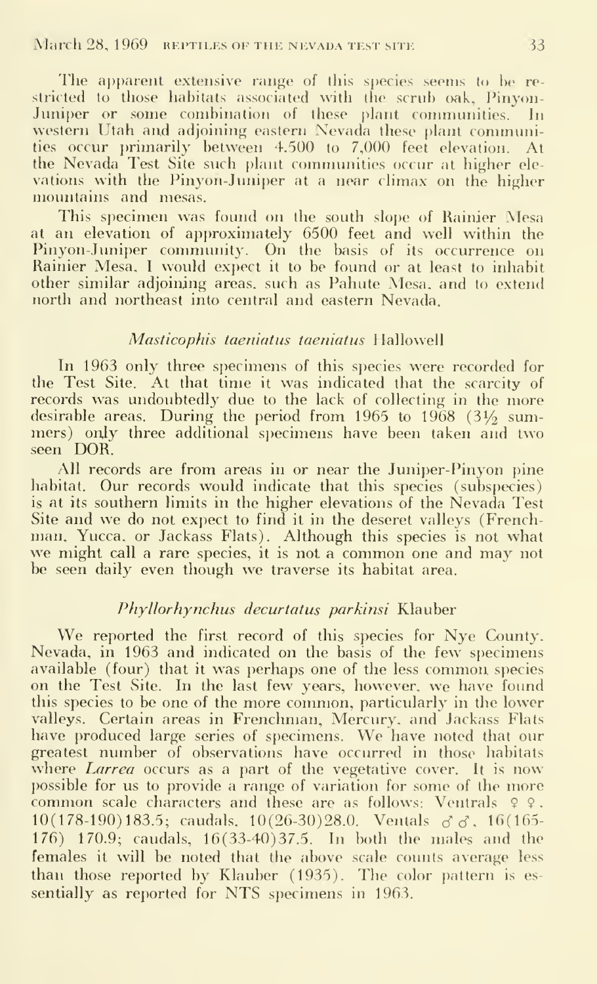The apparent extensive range of this species seems to be restricted to those habitats associated with the scrub oak, Pinyon-Juniper or some combination of these plant communities. In western Utah and adjoining eastern Nevada these plant communities occur primarily between 4.500 to 7,000 feet elevation. At the Nevada Test Site such plant communities occur at higher ele vations with the Pinyon-Juniper at a near climax on the higher mountains and mesas.

This specimen was found on the south slope of Rainier Mesa at an elevation of approximately 6500 feet and well within the Pinyon-Juniper community. On the basis of its occurrence on Rainier Mesa, <sup>I</sup> would expect it to be found or at least to inhabit other similar adjoining areas, such as Pahute Mesa, and to extend north and northeast into central and eastern Nevada.

#### Masticophis taeniatus taeniatus Hallowell

In 1963 only three specimens of this species were recorded for the Test Site. At that time it was indicated that the scarcity of records was undoubtedly due to the lack of collecting in the more desirable areas. During the period from 1965 to 1968 (3 $\frac{1}{2}$  summers) only three additional specimens have been taken and two seen DOR.

All records are from areas in or near the Juniper-Pinyon pine habitat. Our records would indicate that this species (subspecies) is at its southern limits in the higher elevations of the Nevada Test Site and we do not expect to find it in the deseret valleys (French man. Yucca, or Jackass Flats). Although this species is not what we might call <sup>a</sup> rare species, it is not <sup>a</sup> common one and may not be seen daily even though we traverse its habitat area.

#### Phyllorhynchus decurtatus parkinsi Klauber

We reported the first record of this species for Nye County. Nevada, in 1963 and indicated on the basis of the few specimens available (four) that it was perhaps one of the less common, species on the Test Site. In the last few years, however, we have found this species to be one of the more common, particularly in the lower valleys. Certain areas in Frenchman, Mercury, and Jackass Flats have produced large series of specimens. We have noted that our greatest number of observations have occurred in those habitats where *Larrea* occurs as a part of the vegetative cover. It is now<br>possible for us to provide a range of variation for some of the more common scale characters and these are as follows: Ventrals  $9$  9.  $10(178-190)183.5$ ; caudals.  $10(26-30)28.0$ . Ventals  $\sigma \sigma$ .  $16(165-$ 176) 170.9; caudals, 16(33-40)37.5. In both the males and the females it will be noted that the above scale counts average less than those reported by Klauber (1935). The color pattern is es sentially as reported for NTS specimens in 1963.